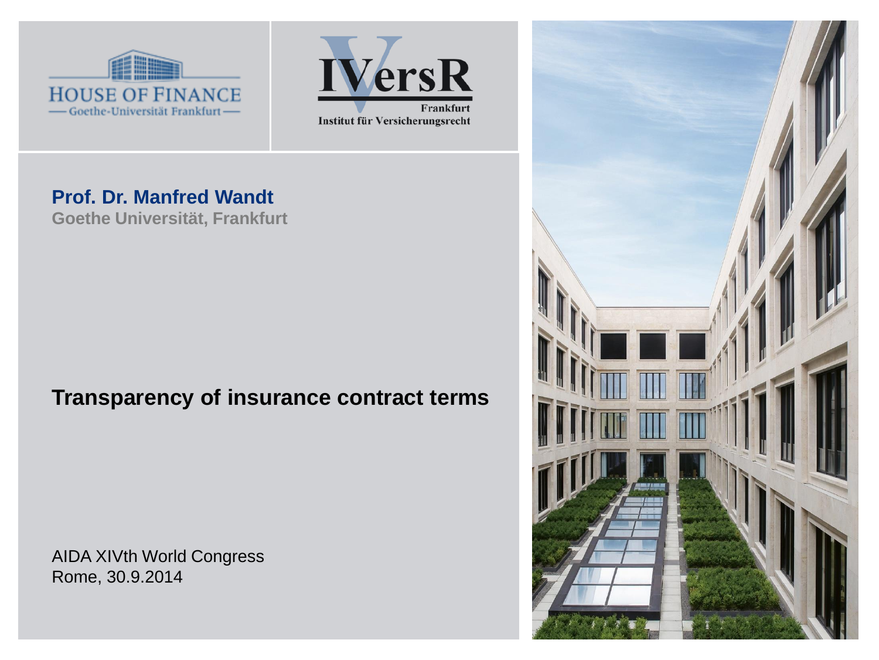



#### **Prof. Dr. Manfred Wandt**

**Goethe Universität, Frankfurt**

### **Transparency of insurance contract terms**

AIDA XIVth World Congress Rome, 30.9.2014

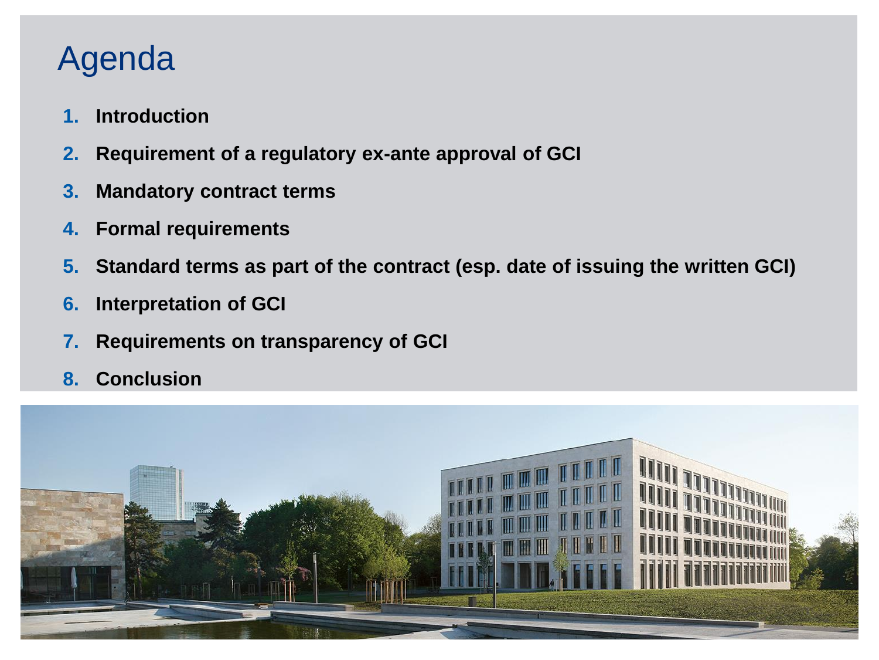# Agenda

- **1. Introduction**
- **2. Requirement of a regulatory ex-ante approval of GCI**
- **3. Mandatory contract terms**
- **4. Formal requirements**
- **5. Standard terms as part of the contract (esp. date of issuing the written GCI)**
- **6. Interpretation of GCI**
- **7. Requirements on transparency of GCI**
- **8. Conclusion**

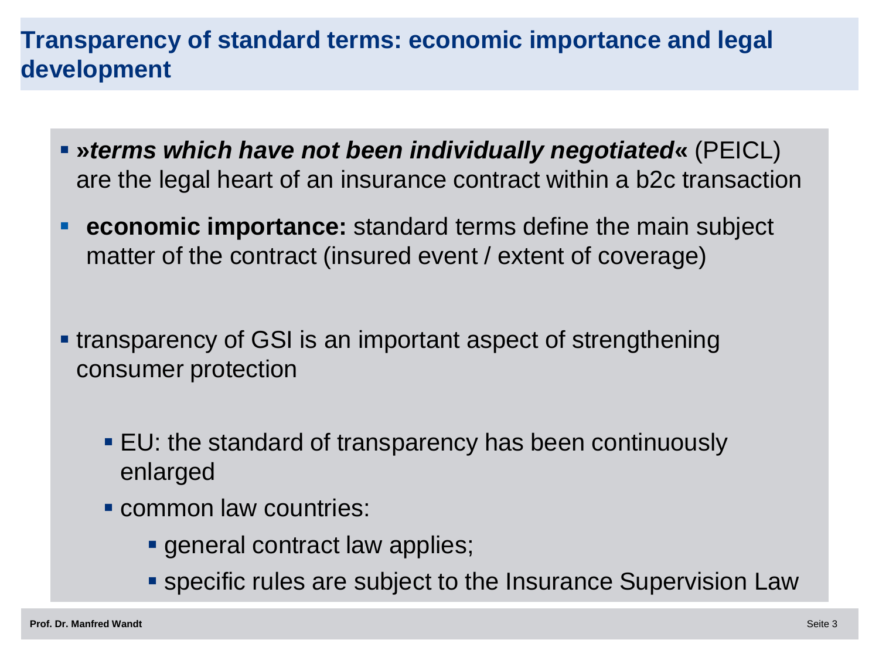### **Transparency of standard terms: economic importance and legal development**

- **»***terms which have not been individually negotiated***«** (PEICL) are the legal heart of an insurance contract within a b2c transaction
- **economic importance:** standard terms define the main subject matter of the contract (insured event / extent of coverage)
- transparency of GSI is an important aspect of strengthening consumer protection
	- EU: the standard of transparency has been continuously enlarged
	- **Common law countries:** 
		- **general contract law applies;**
		- specific rules are subject to the Insurance Supervision Law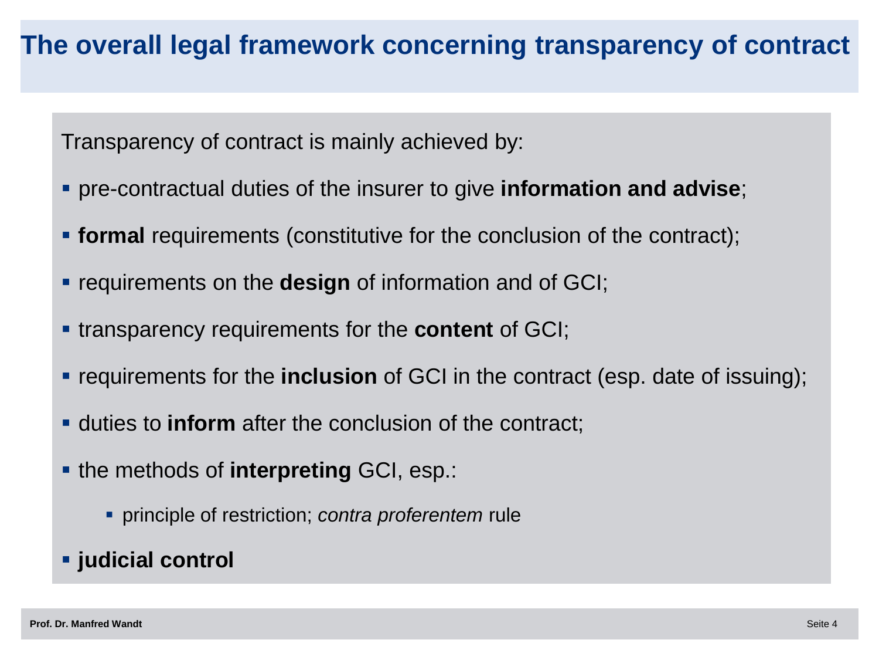### **The overall legal framework concerning transparency of contract**

Transparency of contract is mainly achieved by:

- pre-contractual duties of the insurer to give **information and advise**;
- **formal** requirements (constitutive for the conclusion of the contract);
- **requirements on the design of information and of GCI;**
- transparency requirements for the **content** of GCI;
- **requirements for the inclusion** of GCI in the contract (esp. date of issuing);
- duties to **inform** after the conclusion of the contract;
- **the methods of interpreting GCI, esp.:** 
	- principle of restriction; *contra proferentem* rule
- **judicial control**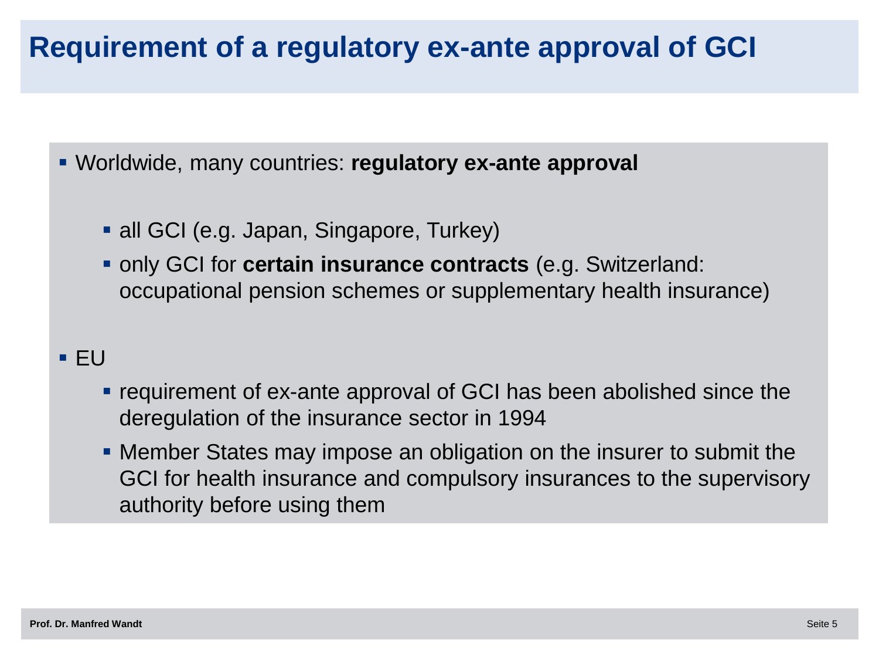# **Requirement of a regulatory ex-ante approval of GCI**

Worldwide, many countries: **regulatory ex-ante approval** 

- all GCI (e.g. Japan, Singapore, Turkey)
- only GCI for **certain insurance contracts** (e.g. Switzerland: occupational pension schemes or supplementary health insurance)

### $EU$

- requirement of ex-ante approval of GCI has been abolished since the deregulation of the insurance sector in 1994
- Member States may impose an obligation on the insurer to submit the GCI for health insurance and compulsory insurances to the supervisory authority before using them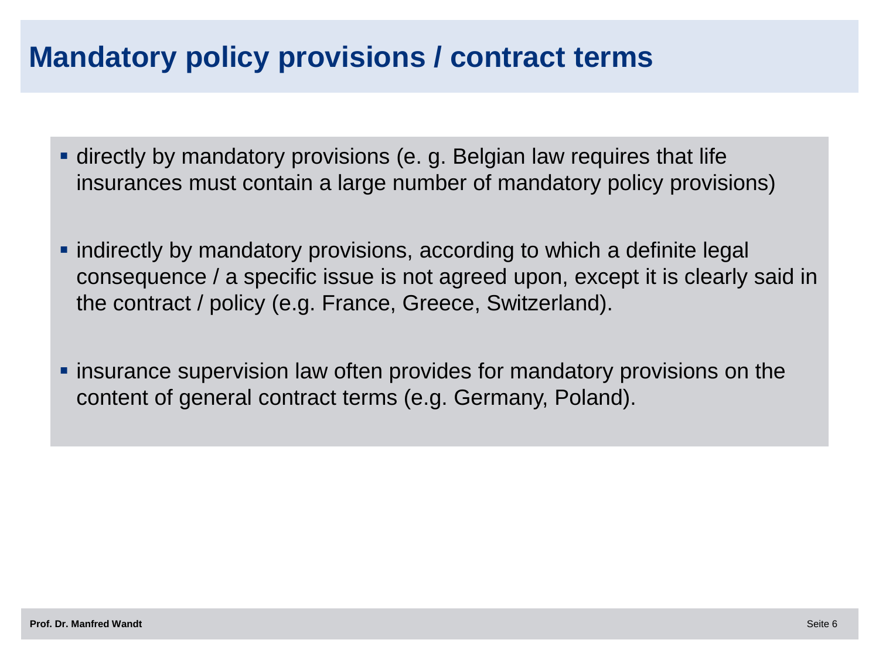# **Mandatory policy provisions / contract terms**

- directly by mandatory provisions (e. g. Belgian law requires that life insurances must contain a large number of mandatory policy provisions)
- indirectly by mandatory provisions, according to which a definite legal consequence / a specific issue is not agreed upon, except it is clearly said in the contract / policy (e.g. France, Greece, Switzerland).
- **Example 3** insurance supervision law often provides for mandatory provisions on the content of general contract terms (e.g. Germany, Poland).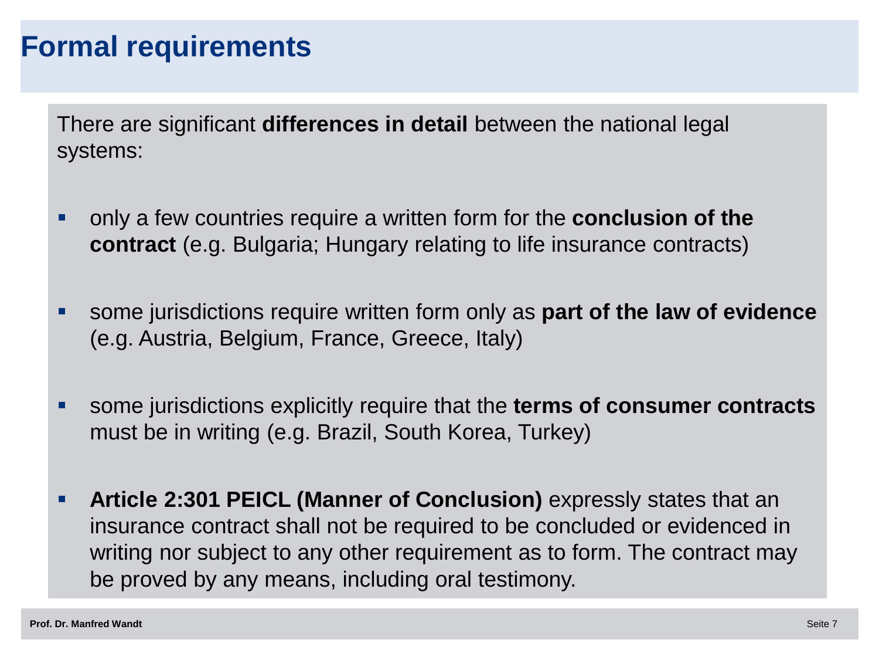### **Formal requirements**

There are significant **differences in detail** between the national legal systems:

- only a few countries require a written form for the **conclusion of the contract** (e.g. Bulgaria; Hungary relating to life insurance contracts)
- some jurisdictions require written form only as **part of the law of evidence**  (e.g. Austria, Belgium, France, Greece, Italy)
- some jurisdictions explicitly require that the **terms of consumer contracts**  must be in writing (e.g. Brazil, South Korea, Turkey)
- **Article 2:301 PEICL (Manner of Conclusion)** expressly states that an insurance contract shall not be required to be concluded or evidenced in writing nor subject to any other requirement as to form. The contract may be proved by any means, including oral testimony.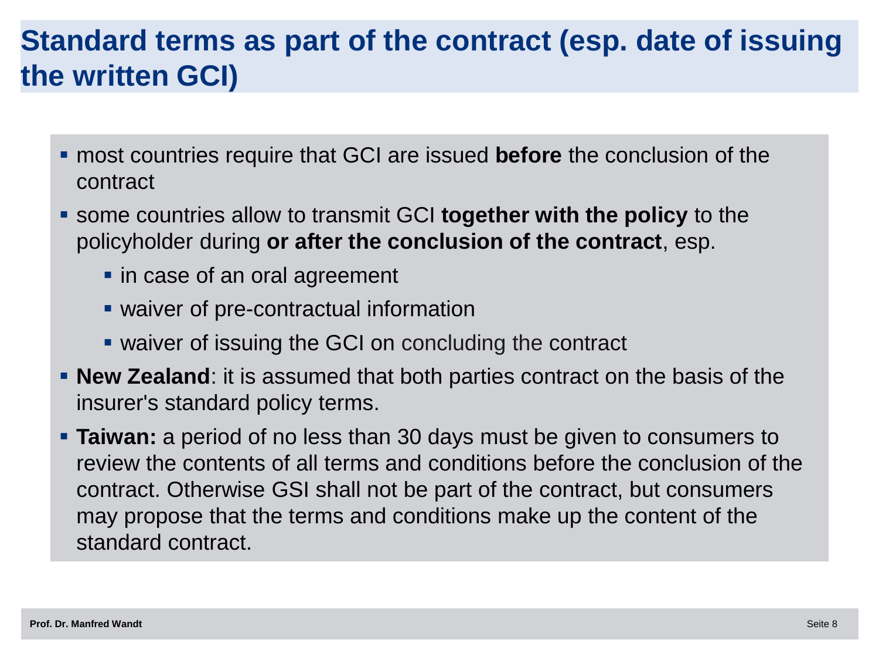# **Standard terms as part of the contract (esp. date of issuing the written GCI)**

- most countries require that GCI are issued **before** the conclusion of the contract
- some countries allow to transmit GCI **together with the policy** to the policyholder during **or after the conclusion of the contract**, esp.
	- in case of an oral agreement
	- waiver of pre-contractual information
	- waiver of issuing the GCI on concluding the contract
- **New Zealand:** it is assumed that both parties contract on the basis of the insurer's standard policy terms.
- **Taiwan:** a period of no less than 30 days must be given to consumers to review the contents of all terms and conditions before the conclusion of the contract. Otherwise GSI shall not be part of the contract, but consumers may propose that the terms and conditions make up the content of the standard contract.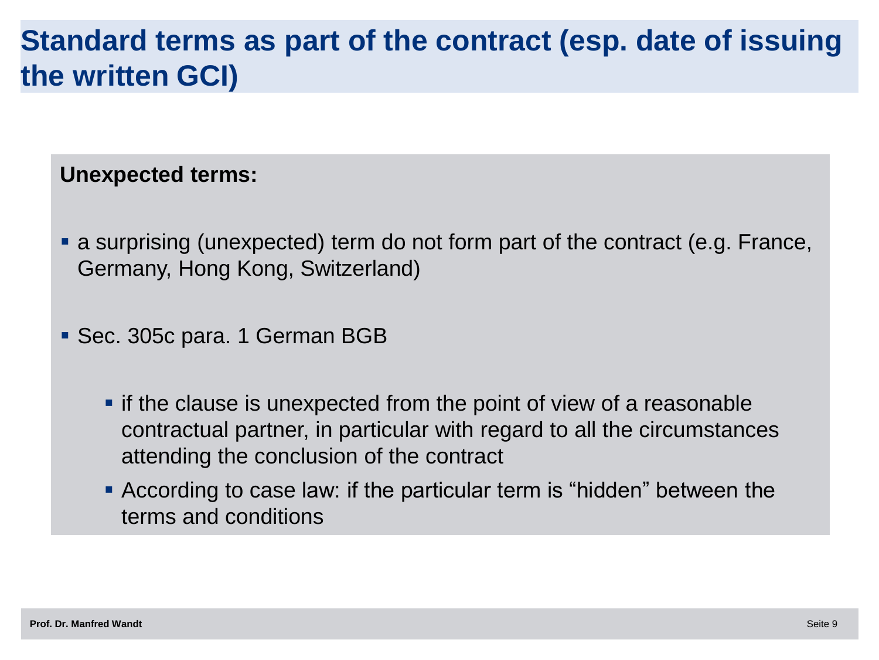## **Standard terms as part of the contract (esp. date of issuing the written GCI)**

### **Unexpected terms:**

- a surprising (unexpected) term do not form part of the contract (e.g. France, Germany, Hong Kong, Switzerland)
- Sec. 305c para. 1 German BGB
	- **F** if the clause is unexpected from the point of view of a reasonable contractual partner, in particular with regard to all the circumstances attending the conclusion of the contract
	- According to case law: if the particular term is "hidden" between the terms and conditions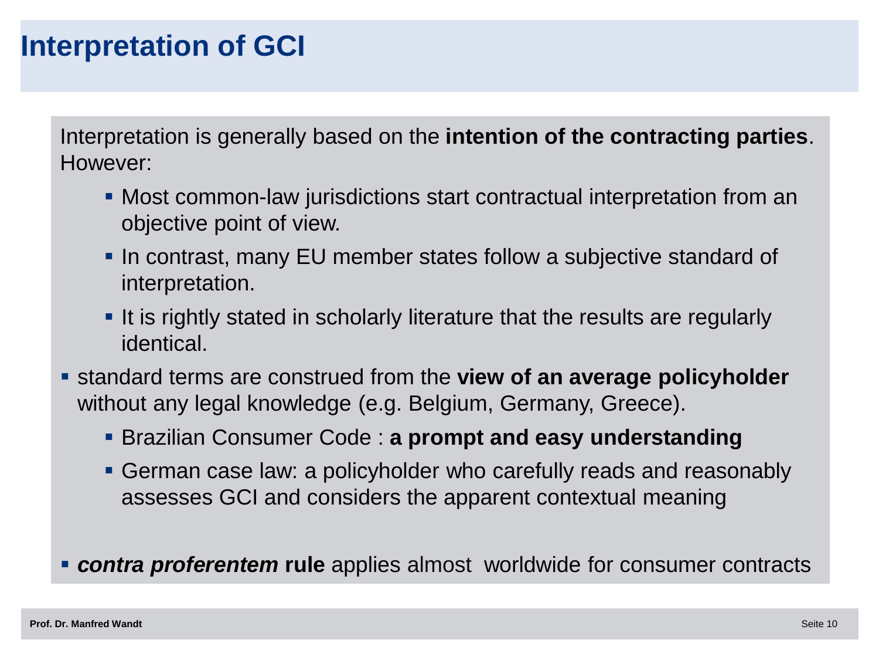### **Interpretation of GCI**

Interpretation is generally based on the **intention of the contracting parties**. However:

- Most common-law jurisdictions start contractual interpretation from an objective point of view.
- **In contrast, many EU member states follow a subjective standard of** interpretation.
- If is rightly stated in scholarly literature that the results are regularly identical.
- standard terms are construed from the **view of an average policyholder** without any legal knowledge (e.g. Belgium, Germany, Greece).
	- Brazilian Consumer Code : **a prompt and easy understanding**
	- German case law: a policyholder who carefully reads and reasonably assesses GCI and considers the apparent contextual meaning
- *contra proferentem* **rule** applies almost worldwide for consumer contracts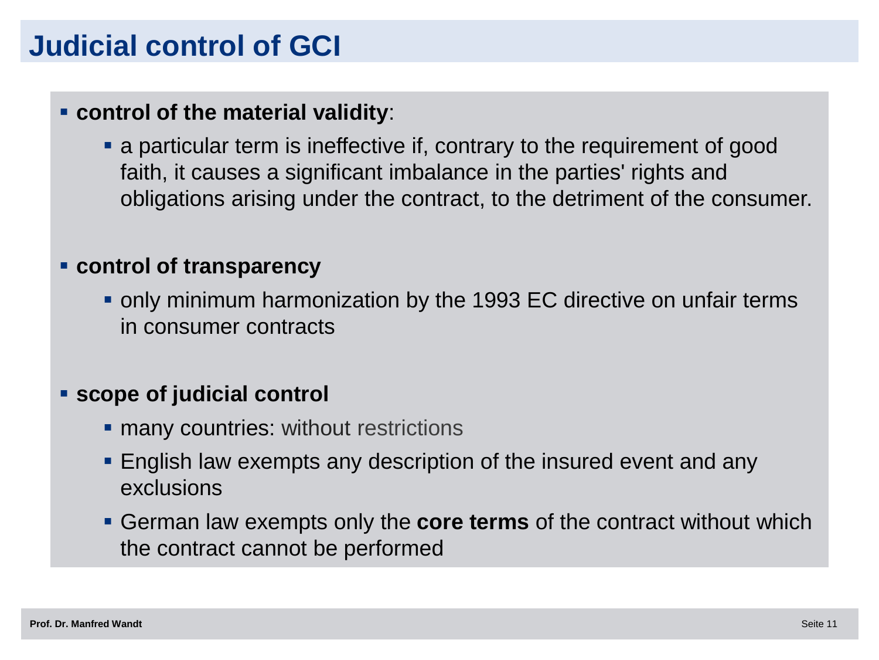# **Judicial control of GCI**

#### **control of the material validity**:

 a particular term is ineffective if, contrary to the requirement of good faith, it causes a significant imbalance in the parties' rights and obligations arising under the contract, to the detriment of the consumer.

#### **control of transparency**

 only minimum harmonization by the 1993 EC directive on unfair terms in consumer contracts

#### **scope of judicial control**

- **numany countries: without restrictions**
- English law exempts any description of the insured event and any exclusions
- German law exempts only the **core terms** of the contract without which the contract cannot be performed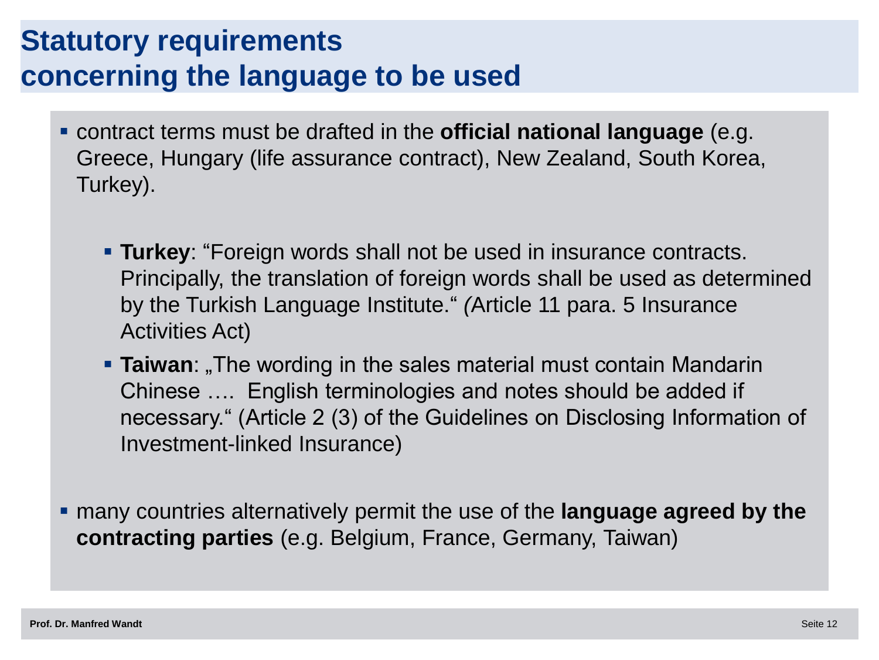# **Statutory requirements concerning the language to be used**

- contract terms must be drafted in the **official national language** (e.g. Greece, Hungary (life assurance contract), New Zealand, South Korea, Turkey).
	- **Turkey**: "Foreign words shall not be used in insurance contracts. Principally, the translation of foreign words shall be used as determined by the Turkish Language Institute." *(*Article 11 para. 5 Insurance Activities Act)
	- **Taiwan**: The wording in the sales material must contain Mandarin Chinese …. English terminologies and notes should be added if necessary." (Article 2 (3) of the Guidelines on Disclosing Information of Investment-linked Insurance)

 many countries alternatively permit the use of the **language agreed by the contracting parties** (e.g. Belgium, France, Germany, Taiwan)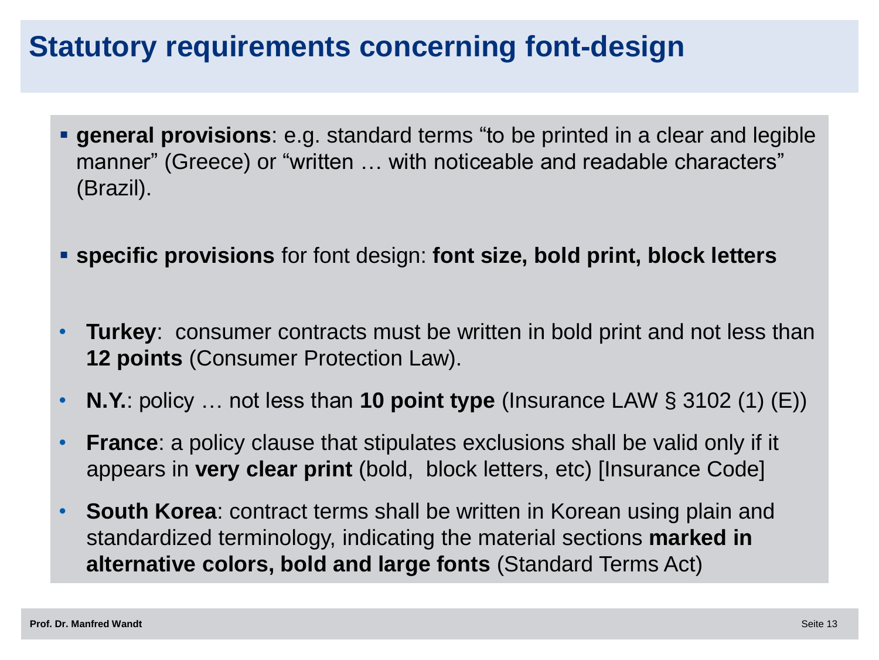## **Statutory requirements concerning font-design**

- **general provisions**: e.g. standard terms "to be printed in a clear and legible manner" (Greece) or "written ... with noticeable and readable characters" (Brazil).
- **specific provisions** for font design: **font size, bold print, block letters**
- **Turkey**: consumer contracts must be written in bold print and not less than **12 points** (Consumer Protection Law).
- **N.Y.**: policy … not less than **10 point type** (Insurance LAW § 3102 (1) (E))
- **France**: a policy clause that stipulates exclusions shall be valid only if it appears in **very clear print** (bold, block letters, etc) [Insurance Code]
- **South Korea**: contract terms shall be written in Korean using plain and standardized terminology, indicating the material sections **marked in alternative colors, bold and large fonts** (Standard Terms Act)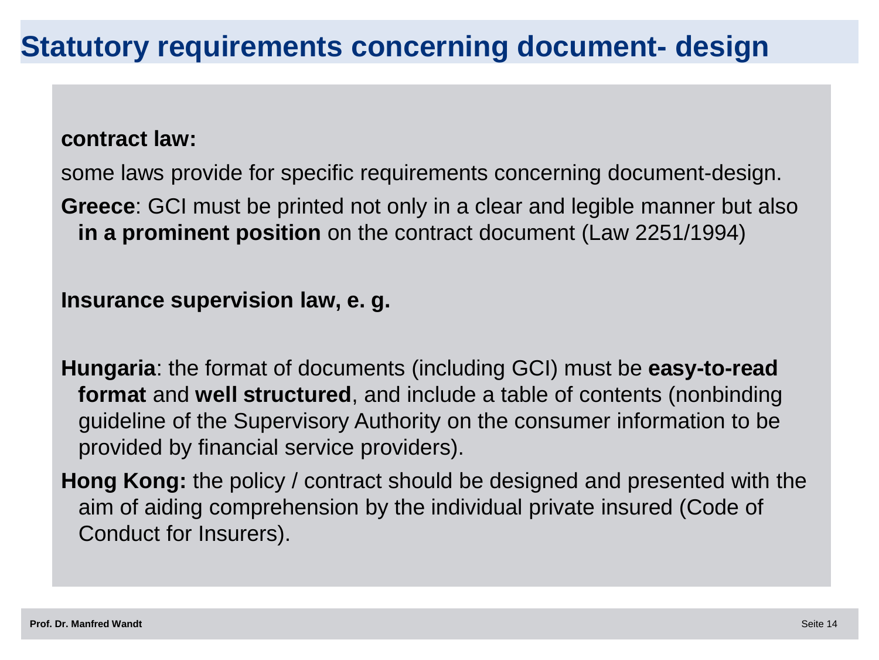#### **contract law:**

some laws provide for specific requirements concerning document-design.

**Greece**: GCI must be printed not only in a clear and legible manner but also **in a prominent position** on the contract document (Law 2251/1994)

**Insurance supervision law, e. g.**

**Hungaria**: the format of documents (including GCI) must be **easy-to-read format** and **well structured**, and include a table of contents (nonbinding guideline of the Supervisory Authority on the consumer information to be provided by financial service providers).

**Hong Kong:** the policy / contract should be designed and presented with the aim of aiding comprehension by the individual private insured (Code of Conduct for Insurers).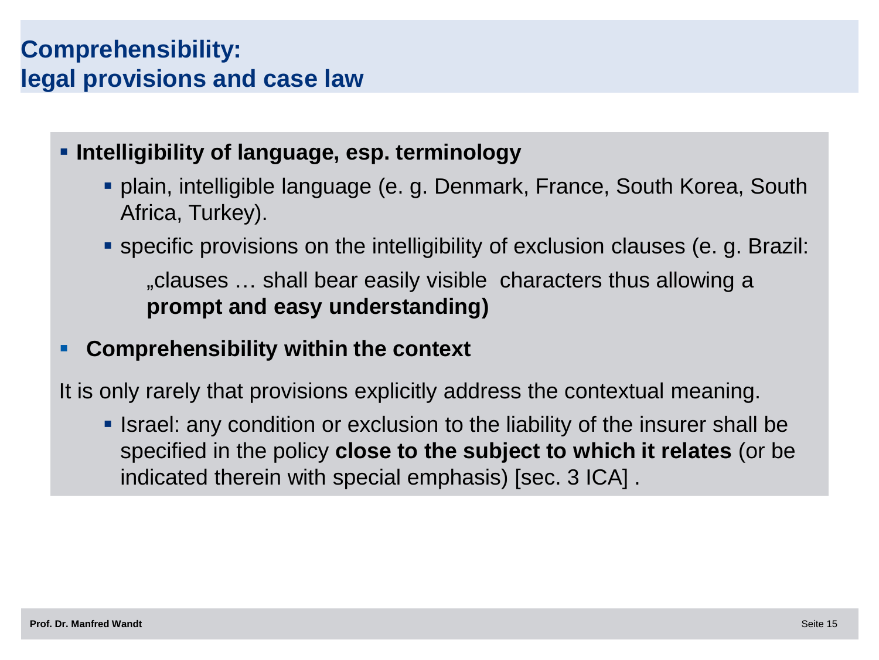### **Comprehensibility: legal provisions and case law**

### **Intelligibility of language, esp. terminology**

- plain, intelligible language (e. g. Denmark, France, South Korea, South Africa, Turkey).
- specific provisions on the intelligibility of exclusion clauses (e. g. Brazil: "clauses … shall bear easily visible characters thus allowing a **prompt and easy understanding)**

### **Comprehensibility within the context**

It is only rarely that provisions explicitly address the contextual meaning.

**In Israel:** any condition or exclusion to the liability of the insurer shall be specified in the policy **close to the subject to which it relates** (or be indicated therein with special emphasis) [sec. 3 ICA] .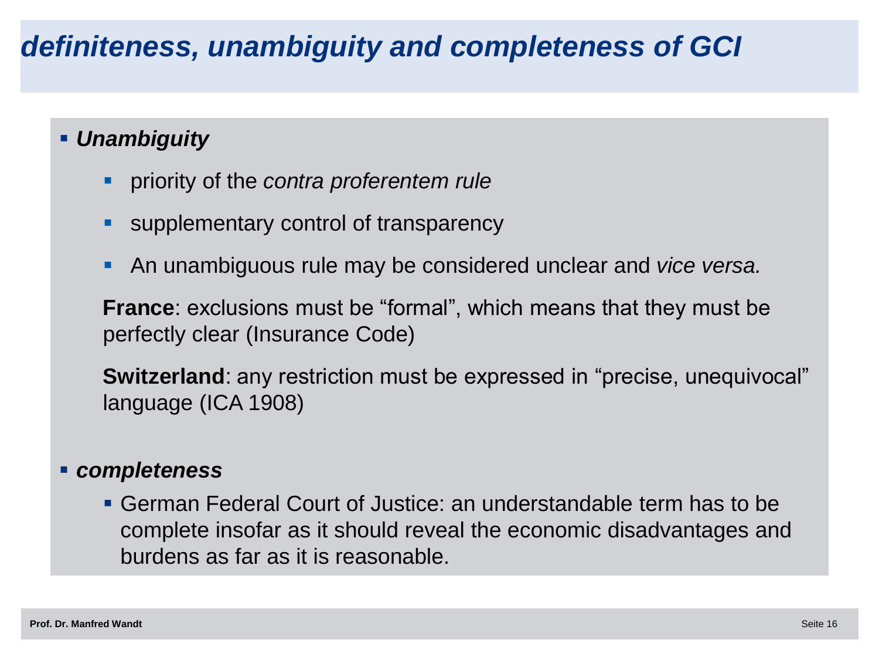# *definiteness, unambiguity and completeness of GCI*

### *Unambiguity*

- priority of the *contra proferentem rule*
- **Supplementary control of transparency**
- An unambiguous rule may be considered unclear and *vice versa.*

**France**: exclusions must be "formal", which means that they must be perfectly clear (Insurance Code)

**Switzerland**: any restriction must be expressed in "precise, unequivocal" language (ICA 1908)

#### *completeness*

 German Federal Court of Justice: an understandable term has to be complete insofar as it should reveal the economic disadvantages and burdens as far as it is reasonable.